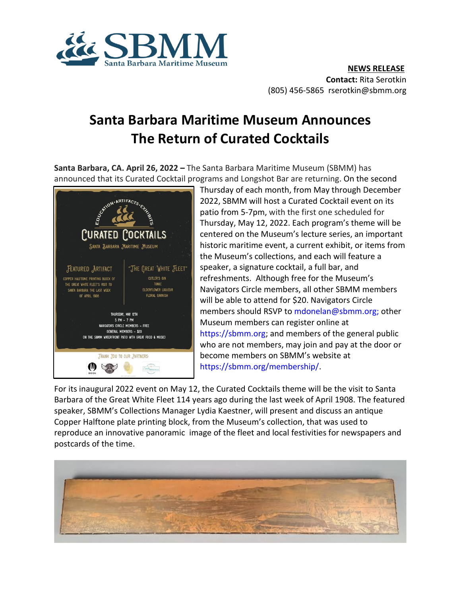

## **Santa Barbara Maritime Museum Announces The Return of Curated Cocktails**

**Santa Barbara, CA. April 26, 2022 –** The Santa Barbara Maritime Museum (SBMM) has announced that its Curated Cocktail programs and Longshot Bar are returning. On the second



Thursday of each month, from May through December 2022, SBMM will host a Curated Cocktail event on its patio from 5-7pm, with the first one scheduled for Thursday, May 12, 2022. Each program's theme will be centered on the Museum's lecture series, an important historic maritime event, a current exhibit, or items from the Museum's collections, and each will feature a speaker, a signature cocktail, a full bar, and refreshments. Although free for the Museum's Navigators Circle members, all other SBMM members will be able to attend for \$20. Navigators Circle members should RSVP to [mdonelan@sbmm.org;](mailto:mdonelan@sbmm.org) other Museum members can register online at [https://sbmm.org;](https://sbmm.org/) and members of the general public who are not members, may join and pay at the door or become members on SBMM's website at [https://sbmm.org/membership/.](https://sbmm.org/membership/)

For its inaugural 2022 event on May 12, the Curated Cocktails theme will be the visit to Santa Barbara of the Great White Fleet 114 years ago during the last week of April 1908. The featured speaker, SBMM's Collections Manager Lydia Kaestner, will present and discuss an antique Copper Halftone plate printing block, from the Museum's collection, that was used to reproduce an innovative panoramic image of the fleet and local festivities for newspapers and postcards of the time.